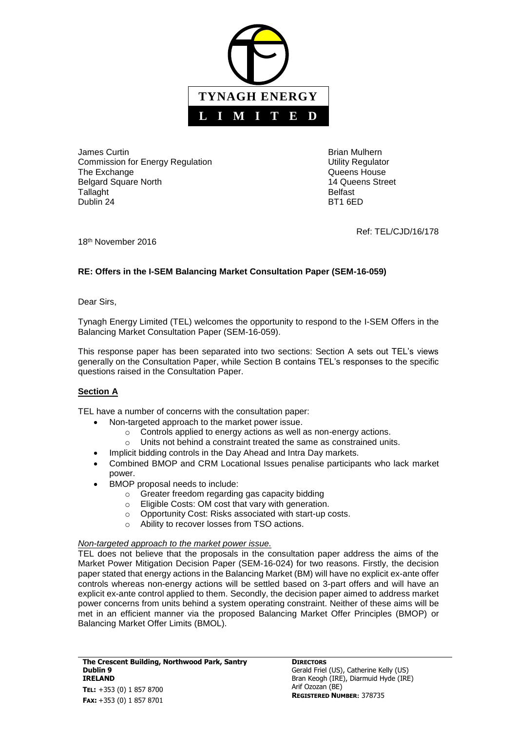

James Curtin Brian Mulhern Commission for Energy Regulation **Energy Regulation** Utility Regulator The Exchange **COVID-10** COVID-10 Cueens House Belgard Square North 14 Queens Street Tallaght **Belfast** Dublin 24 BT1 6ED

Ref: TEL/CJD/16/178

18th November 2016

# **RE: Offers in the I-SEM Balancing Market Consultation Paper (SEM-16-059)**

Dear Sirs,

Tynagh Energy Limited (TEL) welcomes the opportunity to respond to the I-SEM Offers in the Balancing Market Consultation Paper (SEM-16-059).

This response paper has been separated into two sections: Section A sets out TEL's views generally on the Consultation Paper, while Section B contains TEL's responses to the specific questions raised in the Consultation Paper.

## **Section A**

TEL have a number of concerns with the consultation paper:

- Non-targeted approach to the market power issue.
	- o Controls applied to energy actions as well as non-energy actions.
	- o Units not behind a constraint treated the same as constrained units.
	- Implicit bidding controls in the Day Ahead and Intra Day markets.
- Combined BMOP and CRM Locational Issues penalise participants who lack market power.
- BMOP proposal needs to include:
	- o Greater freedom regarding gas capacity bidding
	- o Eligible Costs: OM cost that vary with generation.
	- o Opportunity Cost: Risks associated with start-up costs.
	- o Ability to recover losses from TSO actions.

## *Non-targeted approach to the market power issue.*

TEL does not believe that the proposals in the consultation paper address the aims of the Market Power Mitigation Decision Paper (SEM-16-024) for two reasons. Firstly, the decision paper stated that energy actions in the Balancing Market (BM) will have no explicit ex-ante offer controls whereas non-energy actions will be settled based on 3-part offers and will have an explicit ex-ante control applied to them. Secondly, the decision paper aimed to address market power concerns from units behind a system operating constraint. Neither of these aims will be met in an efficient manner via the proposed Balancing Market Offer Principles (BMOP) or Balancing Market Offer Limits (BMOL).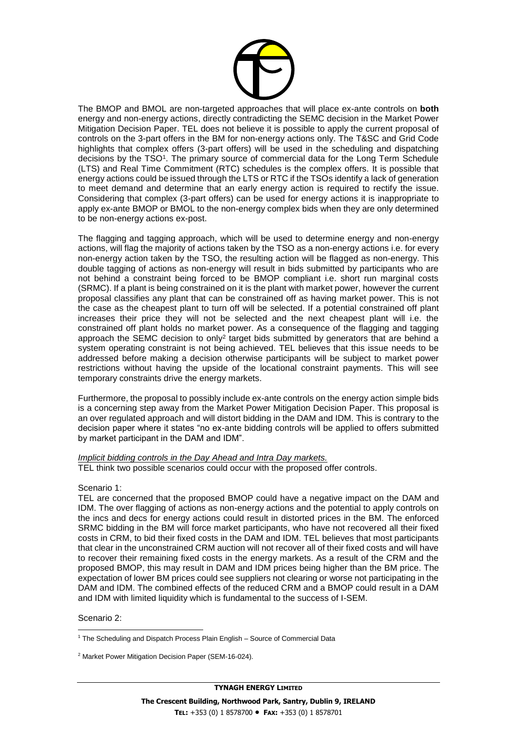

The BMOP and BMOL are non-targeted approaches that will place ex-ante controls on **both** energy and non-energy actions, directly contradicting the SEMC decision in the Market Power Mitigation Decision Paper. TEL does not believe it is possible to apply the current proposal of controls on the 3-part offers in the BM for non-energy actions only. The T&SC and Grid Code highlights that complex offers (3-part offers) will be used in the scheduling and dispatching decisions by the TSO<sup>1</sup>. The primary source of commercial data for the Long Term Schedule (LTS) and Real Time Commitment (RTC) schedules is the complex offers. It is possible that energy actions could be issued through the LTS or RTC if the TSOs identify a lack of generation to meet demand and determine that an early energy action is required to rectify the issue. Considering that complex (3-part offers) can be used for energy actions it is inappropriate to apply ex-ante BMOP or BMOL to the non-energy complex bids when they are only determined to be non-energy actions ex-post.

The flagging and tagging approach, which will be used to determine energy and non-energy actions, will flag the majority of actions taken by the TSO as a non-energy actions i.e. for every non-energy action taken by the TSO, the resulting action will be flagged as non-energy. This double tagging of actions as non-energy will result in bids submitted by participants who are not behind a constraint being forced to be BMOP compliant i.e. short run marginal costs (SRMC). If a plant is being constrained on it is the plant with market power, however the current proposal classifies any plant that can be constrained off as having market power. This is not the case as the cheapest plant to turn off will be selected. If a potential constrained off plant increases their price they will not be selected and the next cheapest plant will i.e. the constrained off plant holds no market power. As a consequence of the flagging and tagging approach the SEMC decision to only<sup>2</sup> target bids submitted by generators that are behind a system operating constraint is not being achieved. TEL believes that this issue needs to be addressed before making a decision otherwise participants will be subject to market power restrictions without having the upside of the locational constraint payments. This will see temporary constraints drive the energy markets.

Furthermore, the proposal to possibly include ex-ante controls on the energy action simple bids is a concerning step away from the Market Power Mitigation Decision Paper. This proposal is an over regulated approach and will distort bidding in the DAM and IDM. This is contrary to the decision paper where it states "no ex-ante bidding controls will be applied to offers submitted by market participant in the DAM and IDM".

*Implicit bidding controls in the Day Ahead and Intra Day markets.* TEL think two possible scenarios could occur with the proposed offer controls.

## Scenario 1:

TEL are concerned that the proposed BMOP could have a negative impact on the DAM and IDM. The over flagging of actions as non-energy actions and the potential to apply controls on the incs and decs for energy actions could result in distorted prices in the BM. The enforced SRMC bidding in the BM will force market participants, who have not recovered all their fixed costs in CRM, to bid their fixed costs in the DAM and IDM. TEL believes that most participants that clear in the unconstrained CRM auction will not recover all of their fixed costs and will have to recover their remaining fixed costs in the energy markets. As a result of the CRM and the proposed BMOP, this may result in DAM and IDM prices being higher than the BM price. The expectation of lower BM prices could see suppliers not clearing or worse not participating in the DAM and IDM. The combined effects of the reduced CRM and a BMOP could result in a DAM and IDM with limited liquidity which is fundamental to the success of I-SEM.

#### Scenario 2:

l

**TYNAGH ENERGY LIMITED**

<sup>&</sup>lt;sup>1</sup> The Scheduling and Dispatch Process Plain English – Source of Commercial Data

<sup>2</sup> Market Power Mitigation Decision Paper (SEM-16-024).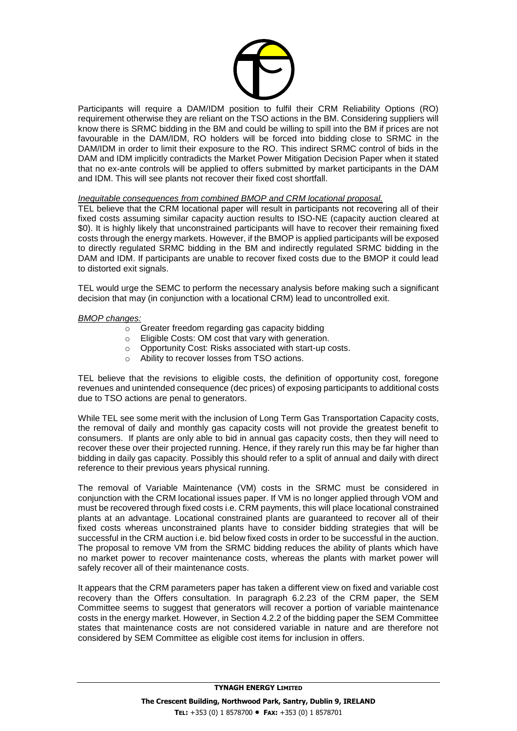

Participants will require a DAM/IDM position to fulfil their CRM Reliability Options (RO) requirement otherwise they are reliant on the TSO actions in the BM. Considering suppliers will know there is SRMC bidding in the BM and could be willing to spill into the BM if prices are not favourable in the DAM/IDM, RO holders will be forced into bidding close to SRMC in the DAM/IDM in order to limit their exposure to the RO. This indirect SRMC control of bids in the DAM and IDM implicitly contradicts the Market Power Mitigation Decision Paper when it stated that no ex-ante controls will be applied to offers submitted by market participants in the DAM and IDM. This will see plants not recover their fixed cost shortfall.

#### *Inequitable consequences from combined BMOP and CRM locational proposal.*

TEL believe that the CRM locational paper will result in participants not recovering all of their fixed costs assuming similar capacity auction results to ISO-NE (capacity auction cleared at \$0). It is highly likely that unconstrained participants will have to recover their remaining fixed costs through the energy markets. However, if the BMOP is applied participants will be exposed to directly regulated SRMC bidding in the BM and indirectly regulated SRMC bidding in the DAM and IDM. If participants are unable to recover fixed costs due to the BMOP it could lead to distorted exit signals.

TEL would urge the SEMC to perform the necessary analysis before making such a significant decision that may (in conjunction with a locational CRM) lead to uncontrolled exit.

#### *BMOP changes:*

- o Greater freedom regarding gas capacity bidding
- o Eligible Costs: OM cost that vary with generation.
- o Opportunity Cost: Risks associated with start-up costs.
- o Ability to recover losses from TSO actions.

TEL believe that the revisions to eligible costs, the definition of opportunity cost, foregone revenues and unintended consequence (dec prices) of exposing participants to additional costs due to TSO actions are penal to generators.

While TEL see some merit with the inclusion of Long Term Gas Transportation Capacity costs, the removal of daily and monthly gas capacity costs will not provide the greatest benefit to consumers. If plants are only able to bid in annual gas capacity costs, then they will need to recover these over their projected running. Hence, if they rarely run this may be far higher than bidding in daily gas capacity. Possibly this should refer to a split of annual and daily with direct reference to their previous years physical running.

The removal of Variable Maintenance (VM) costs in the SRMC must be considered in conjunction with the CRM locational issues paper. If VM is no longer applied through VOM and must be recovered through fixed costs i.e. CRM payments, this will place locational constrained plants at an advantage. Locational constrained plants are guaranteed to recover all of their fixed costs whereas unconstrained plants have to consider bidding strategies that will be successful in the CRM auction i.e. bid below fixed costs in order to be successful in the auction. The proposal to remove VM from the SRMC bidding reduces the ability of plants which have no market power to recover maintenance costs, whereas the plants with market power will safely recover all of their maintenance costs.

It appears that the CRM parameters paper has taken a different view on fixed and variable cost recovery than the Offers consultation. In paragraph 6.2.23 of the CRM paper, the SEM Committee seems to suggest that generators will recover a portion of variable maintenance costs in the energy market. However, in Section 4.2.2 of the bidding paper the SEM Committee states that maintenance costs are not considered variable in nature and are therefore not considered by SEM Committee as eligible cost items for inclusion in offers.

**TYNAGH ENERGY LIMITED**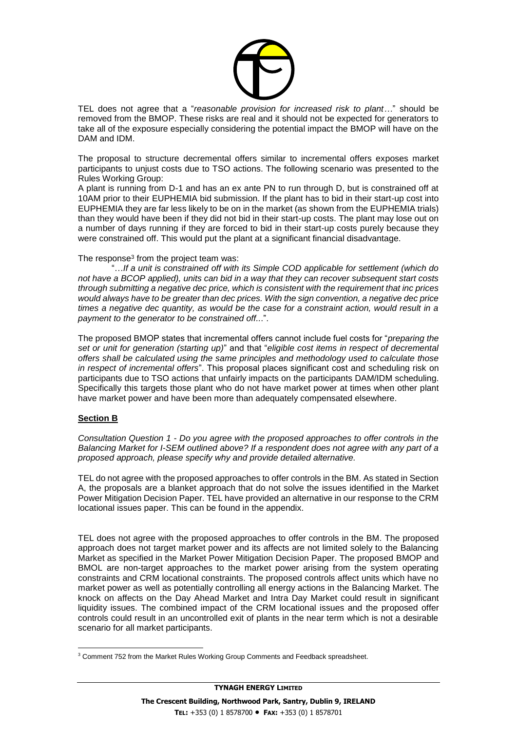

TEL does not agree that a "*reasonable provision for increased risk to plant…*" should be removed from the BMOP. These risks are real and it should not be expected for generators to take all of the exposure especially considering the potential impact the BMOP will have on the DAM and IDM.

The proposal to structure decremental offers similar to incremental offers exposes market participants to unjust costs due to TSO actions. The following scenario was presented to the Rules Working Group:

A plant is running from D-1 and has an ex ante PN to run through D, but is constrained off at 10AM prior to their EUPHEMIA bid submission. If the plant has to bid in their start-up cost into EUPHEMIA they are far less likely to be on in the market (as shown from the EUPHEMIA trials) than they would have been if they did not bid in their start-up costs. The plant may lose out on a number of days running if they are forced to bid in their start-up costs purely because they were constrained off. This would put the plant at a significant financial disadvantage.

#### The response<sup>3</sup> from the project team was:

"…*If a unit is constrained off with its Simple COD applicable for settlement (which do not have a BCOP applied), units can bid in a way that they can recover subsequent start costs through submitting a negative dec price, which is consistent with the requirement that inc prices would always have to be greater than dec prices. With the sign convention, a negative dec price times a negative dec quantity, as would be the case for a constraint action, would result in a payment to the generator to be constrained off..*.".

The proposed BMOP states that incremental offers cannot include fuel costs for "*preparing the set or unit for generation (starting up)*" and that "*eligible cost items in respect of decremental offers shall be calculated using the same principles and methodology used to calculate those in respect of incremental offers*". This proposal places significant cost and scheduling risk on participants due to TSO actions that unfairly impacts on the participants DAM/IDM scheduling. Specifically this targets those plant who do not have market power at times when other plant have market power and have been more than adequately compensated elsewhere.

## **Section B**

*Consultation Question 1 - Do you agree with the proposed approaches to offer controls in the Balancing Market for I-SEM outlined above? If a respondent does not agree with any part of a proposed approach, please specify why and provide detailed alternative.*

TEL do not agree with the proposed approaches to offer controls in the BM. As stated in Section A, the proposals are a blanket approach that do not solve the issues identified in the Market Power Mitigation Decision Paper. TEL have provided an alternative in our response to the CRM locational issues paper. This can be found in the appendix.

TEL does not agree with the proposed approaches to offer controls in the BM. The proposed approach does not target market power and its affects are not limited solely to the Balancing Market as specified in the Market Power Mitigation Decision Paper. The proposed BMOP and BMOL are non-target approaches to the market power arising from the system operating constraints and CRM locational constraints. The proposed controls affect units which have no market power as well as potentially controlling all energy actions in the Balancing Market. The knock on affects on the Day Ahead Market and Intra Day Market could result in significant liquidity issues. The combined impact of the CRM locational issues and the proposed offer controls could result in an uncontrolled exit of plants in the near term which is not a desirable scenario for all market participants.

l <sup>3</sup> Comment 752 from the Market Rules Working Group Comments and Feedback spreadsheet.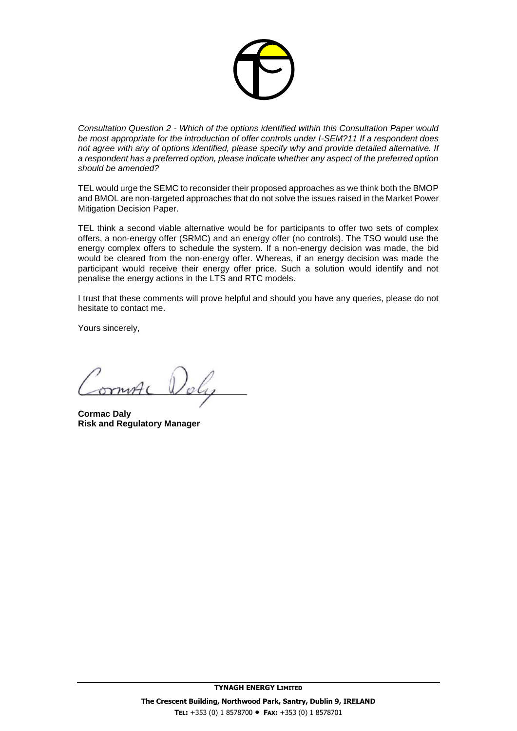

*Consultation Question 2 - Which of the options identified within this Consultation Paper would be most appropriate for the introduction of offer controls under I-SEM?11 If a respondent does not agree with any of options identified, please specify why and provide detailed alternative. If a respondent has a preferred option, please indicate whether any aspect of the preferred option should be amended?*

TEL would urge the SEMC to reconsider their proposed approaches as we think both the BMOP and BMOL are non-targeted approaches that do not solve the issues raised in the Market Power Mitigation Decision Paper.

TEL think a second viable alternative would be for participants to offer two sets of complex offers, a non-energy offer (SRMC) and an energy offer (no controls). The TSO would use the energy complex offers to schedule the system. If a non-energy decision was made, the bid would be cleared from the non-energy offer. Whereas, if an energy decision was made the participant would receive their energy offer price. Such a solution would identify and not penalise the energy actions in the LTS and RTC models.

I trust that these comments will prove helpful and should you have any queries, please do not hesitate to contact me.

Yours sincerely,

**Cormac Daly Risk and Regulatory Manager**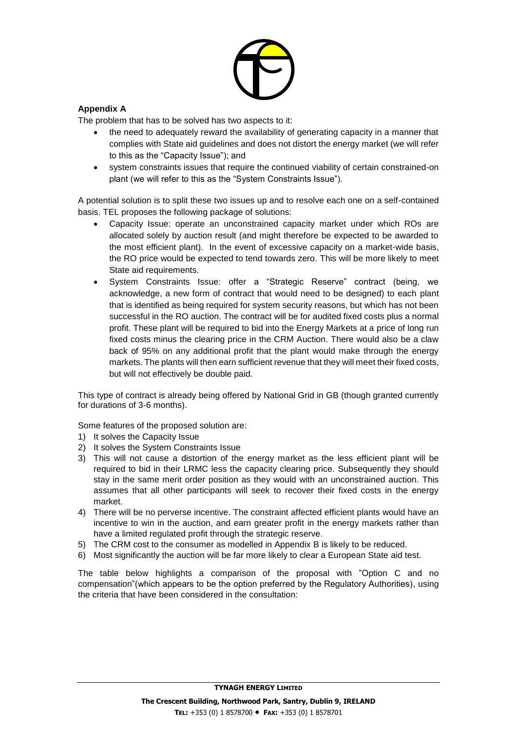

## **Appendix A**

The problem that has to be solved has two aspects to it:

- the need to adequately reward the availability of generating capacity in a manner that complies with State aid guidelines and does not distort the energy market (we will refer to this as the "Capacity Issue"); and
- system constraints issues that require the continued viability of certain constrained-on plant (we will refer to this as the "System Constraints Issue").

A potential solution is to split these two issues up and to resolve each one on a self-contained basis. TEL proposes the following package of solutions:

- Capacity Issue: operate an unconstrained capacity market under which ROs are allocated solely by auction result (and might therefore be expected to be awarded to the most efficient plant). In the event of excessive capacity on a market-wide basis, the RO price would be expected to tend towards zero. This will be more likely to meet State aid requirements.
- System Constraints Issue: offer a "Strategic Reserve" contract (being, we acknowledge, a new form of contract that would need to be designed) to each plant that is identified as being required for system security reasons, but which has not been successful in the RO auction. The contract will be for audited fixed costs plus a normal profit. These plant will be required to bid into the Energy Markets at a price of long run fixed costs minus the clearing price in the CRM Auction. There would also be a claw back of 95% on any additional profit that the plant would make through the energy markets. The plants will then earn sufficient revenue that they will meet their fixed costs, but will not effectively be double paid.

This type of contract is already being offered by National Grid in GB (though granted currently for durations of 3-6 months).

Some features of the proposed solution are:

- 1) It solves the Capacity Issue
- 2) It solves the System Constraints Issue
- 3) This will not cause a distortion of the energy market as the less efficient plant will be required to bid in their LRMC less the capacity clearing price. Subsequently they should stay in the same merit order position as they would with an unconstrained auction. This assumes that all other participants will seek to recover their fixed costs in the energy market.
- 4) There will be no perverse incentive. The constraint affected efficient plants would have an incentive to win in the auction, and earn greater profit in the energy markets rather than have a limited regulated profit through the strategic reserve.
- 5) The CRM cost to the consumer as modelled in Appendix B is likely to be reduced.
- 6) Most significantly the auction will be far more likely to clear a European State aid test.

The table below highlights a comparison of the proposal with "Option C and no compensation"(which appears to be the option preferred by the Regulatory Authorities), using the criteria that have been considered in the consultation: